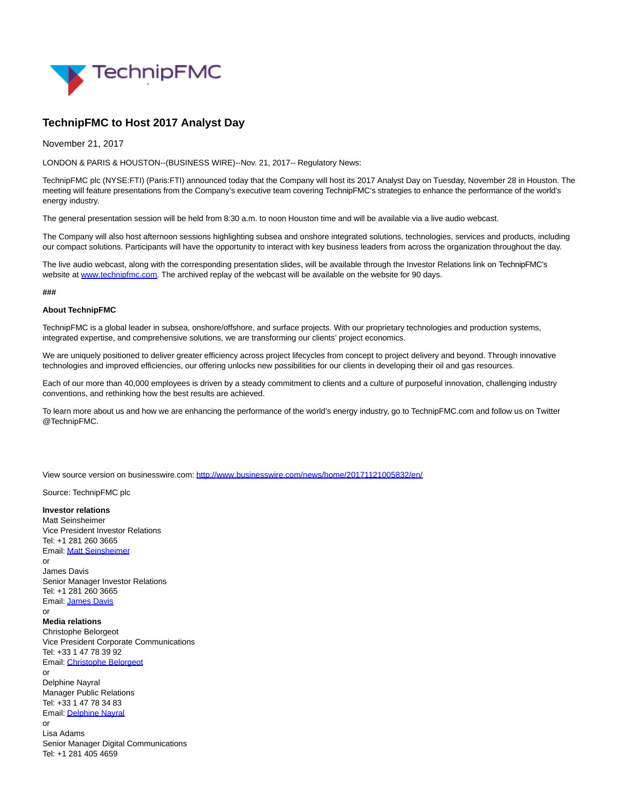

## **TechnipFMC to Host 2017 Analyst Day**

November 21, 2017

LONDON & PARIS & HOUSTON--(BUSINESS WIRE)--Nov. 21, 2017-- Regulatory News:

TechnipFMC plc (NYSE:FTI) (Paris:FTI) announced today that the Company will host its 2017 Analyst Day on Tuesday, November 28 in Houston. The meeting will feature presentations from the Company's executive team covering TechnipFMC's strategies to enhance the performance of the world's energy industry.

The general presentation session will be held from 8:30 a.m. to noon Houston time and will be available via a live audio webcast.

The Company will also host afternoon sessions highlighting subsea and onshore integrated solutions, technologies, services and products, including our compact solutions. Participants will have the opportunity to interact with key business leaders from across the organization throughout the day.

The live audio webcast, along with the corresponding presentation slides, will be available through the Investor Relations link on TechnipFMC's website at [www.technipfmc.com.](http://cts.businesswire.com/ct/CT?id=smartlink&url=http%3A%2F%2Fwww.technipfmc.com&esheet=51719781&newsitemid=20171121005832&lan=en-US&anchor=www.technipfmc.com&index=1&md5=f8f453015a34d29d0bc87638aadd4633) The archived replay of the webcast will be available on the website for 90 days.

**###**

## **About TechnipFMC**

TechnipFMC is a global leader in subsea, onshore/offshore, and surface projects. With our proprietary technologies and production systems, integrated expertise, and comprehensive solutions, we are transforming our clients' project economics.

We are uniquely positioned to deliver greater efficiency across project lifecycles from concept to project delivery and beyond. Through innovative technologies and improved efficiencies, our offering unlocks new possibilities for our clients in developing their oil and gas resources.

Each of our more than 40,000 employees is driven by a steady commitment to clients and a culture of purposeful innovation, challenging industry conventions, and rethinking how the best results are achieved.

To learn more about us and how we are enhancing the performance of the world's energy industry, go to TechnipFMC.com and follow us on Twitter @TechnipFMC.

View source version on businesswire.com:<http://www.businesswire.com/news/home/20171121005832/en/>

Source: TechnipFMC plc

## **Investor relations**

Matt Seinsheimer Vice President Investor Relations Tel: +1 281 260 3665 Email[: Matt Seinsheimer](mailto:InvestorRelations@TechnipFMC.com) or James Davis Senior Manager Investor Relations Tel: +1 281 260 3665 Email[: James Davis](mailto:InvestorRelations@TechnipFMC.com) or **Media relations** Christophe Belorgeot Vice President Corporate Communications Tel: +33 1 47 78 39 92 Email[: Christophe Belorgeot](mailto:media@TechnipFMC.com) or Delphine Nayral Manager Public Relations Tel: +33 1 47 78 34 83 Email[: Delphine Nayral](mailto:media@TechnipFMC.com) or Lisa Adams Senior Manager Digital Communications Tel: +1 281 405 4659